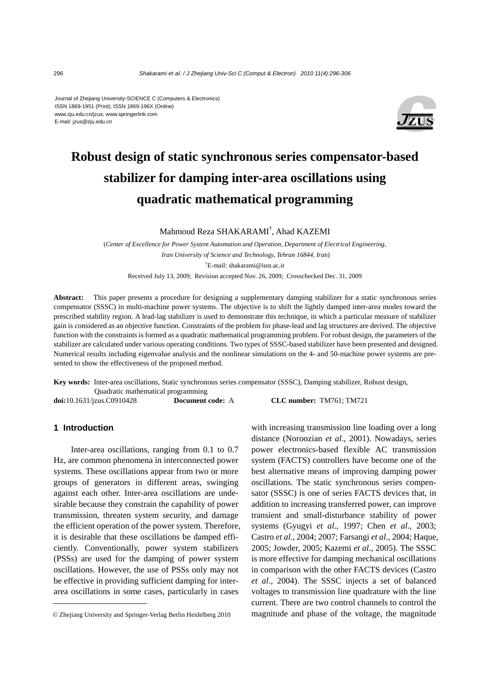#### Journal of Zhejiang University-SCIENCE C (Computers & Electronics) ISSN 1869-1951 (Print); ISSN 1869-196X (Online) www.zju.edu.cn/jzus; www.springerlink.com E-mail: jzus@zju.edu.cn



# **Robust design of static synchronous series compensator-based stabilizer for damping inter-area oscillations using quadratic mathematical programming**

Mahmoud Reza SHAKARAMI† , Ahad KAZEMI

(*Center of Excellence for Power System Automation and Operation, Department of Electrical Engineering, Iran University of Science and Technology, Tehran 16844, Iran*) † E-mail: shakarami@iust.ac.ir

Received July 13, 2009; Revision accepted Nov. 26, 2009; Crosschecked Dec. 31, 2009

Abstract: This paper presents a procedure for designing a supplementary damping stabilizer for a static synchronous series compensator (SSSC) in multi-machine power systems. The objective is to shift the lightly damped inter-area modes toward the prescribed stability region. A lead-lag stabilizer is used to demonstrate this technique, in which a particular measure of stabilizer gain is considered as an objective function. Constraints of the problem for phase-lead and lag structures are derived. The objective function with the constraints is formed as a quadratic mathematical programming problem. For robust design, the parameters of the stabilizer are calculated under various operating conditions. Two types of SSSC-based stabilizer have been presented and designed. Numerical results including eigenvalue analysis and the nonlinear simulations on the 4- and 50-machine power systems are presented to show the effectiveness of the proposed method.

**Key words:** Inter-area oscillations, Static synchronous series compensator (SSSC), Damping stabilizer, Robust design, Quadratic mathematical programming **doi:**10.1631/jzus.C0910428 **Document code:** A **CLC number:** TM761; TM721

# **1 Introduction**

Inter-area oscillations, ranging from 0.1 to 0.7 Hz, are common phenomena in interconnected power systems. These oscillations appear from two or more groups of generators in different areas, swinging against each other. Inter-area oscillations are undesirable because they constrain the capability of power transmission, threaten system security, and damage the efficient operation of the power system. Therefore, it is desirable that these oscillations be damped efficiently. Conventionally, power system stabilizers (PSSs) are used for the damping of power system oscillations. However, the use of PSSs only may not be effective in providing sufficient damping for interarea oscillations in some cases, particularly in cases

with increasing transmission line loading over a long distance (Noroozian *et al*., 2001). Nowadays, series power electronics-based flexible AC transmission system (FACTS) controllers have become one of the best alternative means of improving damping power oscillations. The static synchronous series compensator (SSSC) is one of series FACTS devices that, in addition to increasing transferred power, can improve transient and small-disturbance stability of power systems (Gyugyi *et al*., 1997; Chen *et al*., 2003; Castro *et al*., 2004; 2007; Farsangi *et al*., 2004; Haque, 2005; Jowder, 2005; Kazemi *et al*., 2005). The SSSC is more effective for damping mechanical oscillations in comparison with the other FACTS devices (Castro *et al*., 2004). The SSSC injects a set of balanced voltages to transmission line quadrature with the line current. There are two control channels to control the magnitude and phase of the voltage, the magnitude

<sup>©</sup> Zhejiang University and Springer-Verlag Berlin Heidelberg 2010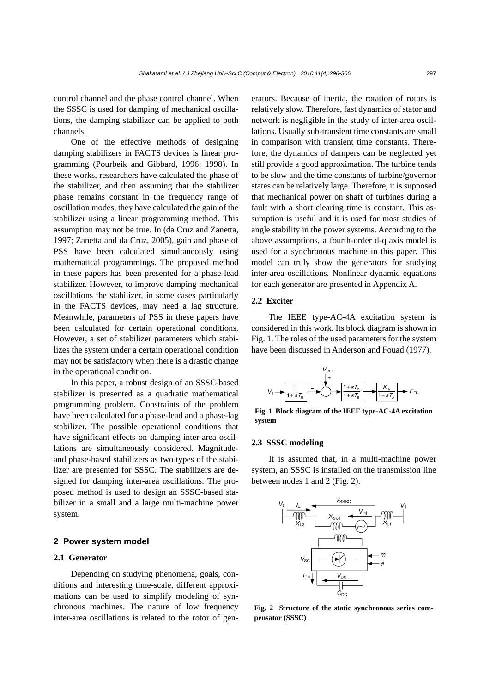control channel and the phase control channel. When the SSSC is used for damping of mechanical oscillations, the damping stabilizer can be applied to both channels.

One of the effective methods of designing damping stabilizers in FACTS devices is linear programming (Pourbeik and Gibbard, 1996; 1998). In these works, researchers have calculated the phase of the stabilizer, and then assuming that the stabilizer phase remains constant in the frequency range of oscillation modes, they have calculated the gain of the stabilizer using a linear programming method. This assumption may not be true. In (da Cruz and Zanetta, 1997; Zanetta and da Cruz, 2005), gain and phase of PSS have been calculated simultaneously using mathematical programmings. The proposed method in these papers has been presented for a phase-lead stabilizer. However, to improve damping mechanical oscillations the stabilizer, in some cases particularly in the FACTS devices, may need a lag structure. Meanwhile, parameters of PSS in these papers have been calculated for certain operational conditions. However, a set of stabilizer parameters which stabilizes the system under a certain operational condition may not be satisfactory when there is a drastic change in the operational condition.

In this paper, a robust design of an SSSC-based stabilizer is presented as a quadratic mathematical programming problem. Constraints of the problem have been calculated for a phase-lead and a phase-lag stabilizer. The possible operational conditions that have significant effects on damping inter-area oscillations are simultaneously considered. Magnitudeand phase-based stabilizers as two types of the stabilizer are presented for SSSC. The stabilizers are designed for damping inter-area oscillations. The proposed method is used to design an SSSC-based stabilizer in a small and a large multi-machine power system.

## **2 Power system model**

#### **2.1 Generator**

Depending on studying phenomena, goals, conditions and interesting time-scale, different approximations can be used to simplify modeling of synchronous machines. The nature of low frequency inter-area oscillations is related to the rotor of generators. Because of inertia, the rotation of rotors is relatively slow. Therefore, fast dynamics of stator and network is negligible in the study of inter-area oscillations. Usually sub-transient time constants are small in comparison with transient time constants. Therefore, the dynamics of dampers can be neglected yet still provide a good approximation. The turbine tends to be slow and the time constants of turbine/governor states can be relatively large. Therefore, it is supposed that mechanical power on shaft of turbines during a fault with a short clearing time is constant. This assumption is useful and it is used for most studies of angle stability in the power systems. According to the above assumptions, a fourth-order d-q axis model is used for a synchronous machine in this paper. This model can truly show the generators for studying inter-area oscillations. Nonlinear dynamic equations for each generator are presented in Appendix A.

## **2.2 Exciter**

The IEEE type-AC-4A excitation system is considered in this work. Its block diagram is shown in Fig. 1. The roles of the used parameters for the system have been discussed in Anderson and Fouad (1977).



**Fig. 1 Block diagram of the IEEE type-AC-4A excitation system** 

#### **2.3 SSSC modeling**

It is assumed that, in a multi-machine power system, an SSSC is installed on the transmission line between nodes 1 and 2 (Fig. 2).



**Fig. 2 Structure of the static synchronous series compensator (SSSC)**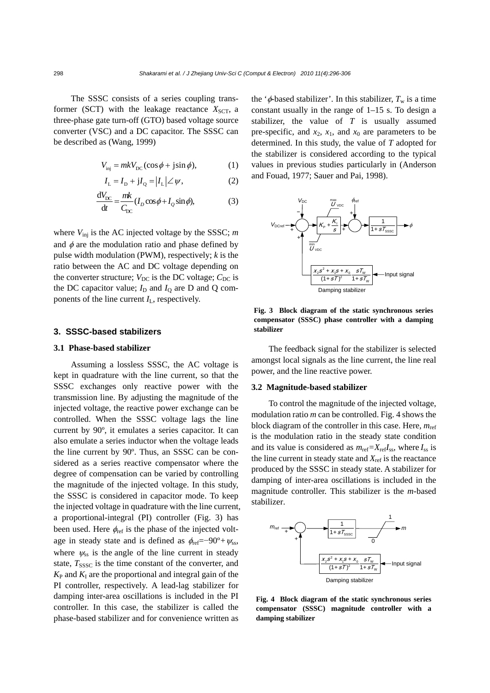The SSSC consists of a series coupling transformer (SCT) with the leakage reactance  $X<sub>SCT</sub>$ , a three-phase gate turn-off (GTO) based voltage source converter (VSC) and a DC capacitor. The SSSC can be described as (Wang, 1999)

$$
V_{\text{inj}} = mkV_{\text{DC}}(\cos\phi + j\sin\phi),\tag{1}
$$

$$
I_{L} = I_{D} + jI_{Q} = |I_{L}| \angle \psi,
$$
 (2)

$$
\frac{dV_{\rm DC}}{dt} = \frac{mk}{C_{\rm DC}} (I_D \cos \phi + I_Q \sin \phi),
$$
 (3)

where *V*inj is the AC injected voltage by the SSSC; *m* and  $\phi$  are the modulation ratio and phase defined by pulse width modulation (PWM), respectively; *k* is the ratio between the AC and DC voltage depending on the converter structure;  $V_{DC}$  is the DC voltage;  $C_{DC}$  is the DC capacitor value;  $I_D$  and  $I_Q$  are D and Q components of the line current *I*L, respectively.

#### **3. SSSC-based stabilizers**

#### **3.1 Phase-based stabilizer**

Assuming a lossless SSSC, the AC voltage is kept in quadrature with the line current, so that the SSSC exchanges only reactive power with the transmission line. By adjusting the magnitude of the injected voltage, the reactive power exchange can be controlled. When the SSSC voltage lags the line current by 90º, it emulates a series capacitor. It can also emulate a series inductor when the voltage leads the line current by 90º. Thus, an SSSC can be considered as a series reactive compensator where the degree of compensation can be varied by controlling the magnitude of the injected voltage. In this study, the SSSC is considered in capacitor mode. To keep the injected voltage in quadrature with the line current, a proportional-integral (PI) controller (Fig. 3) has been used. Here  $\phi_{\text{ref}}$  is the phase of the injected voltage in steady state and is defined as  $\phi_{\text{ref}} = -90^{\circ} + \psi_{\text{ss}}$ , where  $\psi_{ss}$  is the angle of the line current in steady state,  $T_{SSSC}$  is the time constant of the converter, and  $K_{\rm P}$  and  $K_{\rm I}$  are the proportional and integral gain of the PI controller, respectively. A lead-lag stabilizer for damping inter-area oscillations is included in the PI controller. In this case, the stabilizer is called the phase-based stabilizer and for convenience written as

the ' $\phi$ -based stabilizer'. In this stabilizer,  $T_w$  is a time constant usually in the range of 1–15 s. To design a stabilizer, the value of *T* is usually assumed pre-specific, and  $x_2$ ,  $x_1$ , and  $x_0$  are parameters to be determined. In this study, the value of *T* adopted for the stabilizer is considered according to the typical values in previous studies particularly in (Anderson and Fouad, 1977; Sauer and Pai, 1998).



**Fig. 3 Block diagram of the static synchronous series compensator (SSSC) phase controller with a damping stabilizer**

The feedback signal for the stabilizer is selected amongst local signals as the line current, the line real power, and the line reactive power.

#### **3.2 Magnitude-based stabilizer**

To control the magnitude of the injected voltage, modulation ratio *m* can be controlled. Fig. 4 shows the block diagram of the controller in this case. Here, *m*ref is the modulation ratio in the steady state condition and its value is considered as  $m_{\text{ref}} = X_{\text{ref}}I_{\text{ss}}$ , where  $I_{\text{ss}}$  is the line current in steady state and  $X_{\text{ref}}$  is the reactance produced by the SSSC in steady state. A stabilizer for damping of inter-area oscillations is included in the magnitude controller. This stabilizer is the *m*-based stabilizer.



**Fig. 4 Block diagram of the static synchronous series compensator (SSSC) magnitude controller with a damping stabilizer**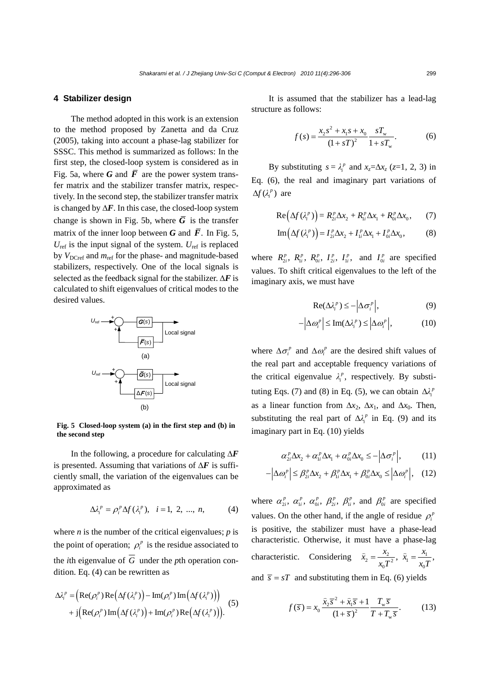#### **4 Stabilizer design**

The method adopted in this work is an extension to the method proposed by Zanetta and da Cruz (2005), taking into account a phase-lag stabilizer for SSSC. This method is summarized as follows: In the first step, the closed-loop system is considered as in Fig. 5a, where G and  $\overline{F}$  are the power system transfer matrix and the stabilizer transfer matrix, respectively. In the second step, the stabilizer transfer matrix is changed by  $\Delta F$ . In this case, the closed-loop system change is shown in Fig. 5b, where  $\overline{G}$  is the transfer matrix of the inner loop between *G* and  $\overline{F}$ . In Fig. 5,  $U_{\text{ref}}$  is the input signal of the system.  $U_{\text{ref}}$  is replaced by *V*<sub>DCref</sub> and  $m_{\text{ref}}$  for the phase- and magnitude-based stabilizers, respectively. One of the local signals is selected as the feedback signal for the stabilizer. Δ*F* is calculated to shift eigenvalues of critical modes to the desired values.



**Fig. 5 Closed-loop system (a) in the first step and (b) in the second step** 

In the following, a procedure for calculating Δ*F* is presented. Assuming that variations of  $\Delta F$  is sufficiently small, the variation of the eigenvalues can be approximated as

$$
\Delta \lambda_i^p = \rho_i^p \Delta f(\lambda_i^p), \quad i = 1, 2, ..., n,
$$
 (4)

where *n* is the number of the critical eigenvalues;  $p$  is the point of operation;  $\rho_i^p$  is the residue associated to the *i*th eigenvalue of  $\overline{G}$  under the *p*th operation condition. Eq. (4) can be rewritten as

$$
\Delta \lambda_i^p = \left( \text{Re}(\rho_i^p) \text{Re}(\Delta f(\lambda_i^p)) - \text{Im}(\rho_i^p) \text{Im}(\Delta f(\lambda_i^p)) \right) + \text{j} \left( \text{Re}(\rho_i^p) \text{Im}(\Delta f(\lambda_i^p)) + \text{Im}(\rho_i^p) \text{Re}(\Delta f(\lambda_i^p)) \right).
$$
 (5)

It is assumed that the stabilizer has a lead-lag structure as follows:

$$
f(s) = \frac{x_2 s^2 + x_1 s + x_0}{\left(1 + sT\right)^2} \frac{sT_w}{1 + sT_w}.
$$
 (6)

By substituting  $s = \lambda_i^p$  and  $x_z = \Delta x_z$  ( $z = 1, 2, 3$ ) in Eq. (6), the real and imaginary part variations of  $\Delta f(\lambda_i^p)$  are

$$
\operatorname{Re}\left(\Delta f(\lambda_i^p)\right) = R_{2i}^p \Delta x_2 + R_{1i}^p \Delta x_1 + R_{0i}^p \Delta x_0, \tag{7}
$$

$$
\operatorname{Im}\left(\Delta f\left(\lambda_i^p\right)\right) = I_{2i}^p \Delta x_2 + I_{1i}^p \Delta x_1 + I_{0i}^p \Delta x_0,\tag{8}
$$

where  $R_{2i}^p$ ,  $R_{1i}^p$ ,  $R_{0i}^p$ ,  $I_{2i}^p$ ,  $I_{1i}^p$ , and  $I_{0i}^p$  are specified values. To shift critical eigenvalues to the left of the imaginary axis, we must have

$$
\operatorname{Re}(\Delta \lambda_i^p) \le -\left|\Delta \sigma_i^p\right|,\tag{9}
$$

$$
-\left|\Delta \omega_i^p\right| \le \text{Im}(\Delta \lambda_i^p) \le \left|\Delta \omega_i^p\right|,\tag{10}
$$

where  $\Delta \sigma_i^p$  and  $\Delta \omega_i^p$  are the desired shift values of the real part and acceptable frequency variations of the critical eigenvalue  $\lambda_i^p$ , respectively. By substituting Eqs. (7) and (8) in Eq. (5), we can obtain  $\Delta l_i^p$ as a linear function from  $\Delta x_2$ ,  $\Delta x_1$ , and  $\Delta x_0$ . Then, substituting the real part of  $\Delta \lambda_i^p$  in Eq. (9) and its imaginary part in Eq. (10) yields

$$
\alpha_{2i}^p \Delta x_2 + \alpha_{1i}^p \Delta x_1 + \alpha_{0i}^p \Delta x_0 \le -\left| \Delta \sigma_i^p \right|, \qquad (11)
$$

$$
-\left|\Delta\omega_i^p\right| \leq \beta_{2i}^p \Delta x_2 + \beta_{1i}^p \Delta x_1 + \beta_{0i}^p \Delta x_0 \leq \left|\Delta\omega_i^p\right|, \quad (12)
$$

where  $\alpha_{2i}^p$ ,  $\alpha_{1i}^p$ ,  $\alpha_{0i}^p$ ,  $\beta_{2i}^p$ ,  $\beta_{1i}^p$ , and  $\beta_{0i}^p$  are specified values. On the other hand, if the angle of residue  $\rho_i^p$ is positive, the stabilizer must have a phase-lead characteristic. Otherwise, it must have a phase-lag characteristic. Considering  $\hat{x}_2 = \frac{x_2}{x_0 T^2}$ ,  $\hat{x}_1 = \frac{x_1}{x_0 T^2}$  $\hat{x}_2 = \frac{x_2}{x_0 T^2}, \ \ \hat{x}_1 = \frac{x_1}{x_0 T},$ 

and  $\bar{s} = sT$  and substituting them in Eq. (6) yields

$$
f(\overline{s}) = x_0 \frac{\widehat{x}_2 \overline{s}^2 + \widehat{x}_1 \overline{s} + 1}{\left(1 + \overline{s}\right)^2} \frac{T_w \overline{s}}{T + T_w \overline{s}}.
$$
 (13)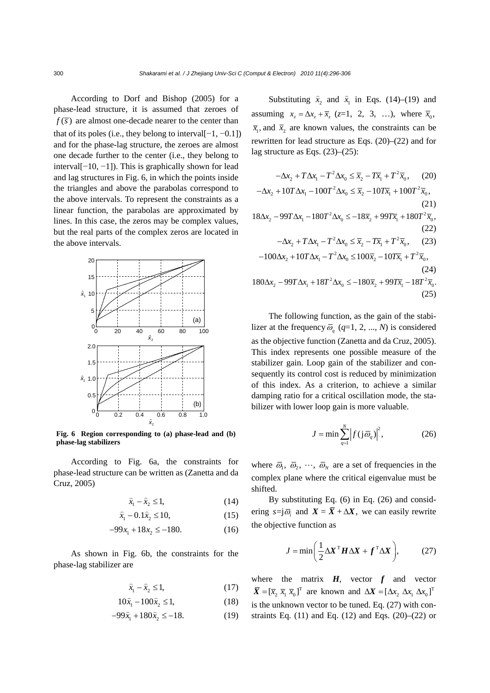According to Dorf and Bishop (2005) for a phase-lead structure, it is assumed that zeroes of  $f(\overline{s})$  are almost one-decade nearer to the center than that of its poles (i.e., they belong to interval[ $-1, -0.1$ ]) and for the phase-lag structure, the zeroes are almost one decade further to the center (i.e., they belong to interval[−10, −1]). This is graphically shown for lead and lag structures in Fig. 6, in which the points inside the triangles and above the parabolas correspond to the above intervals. To represent the constraints as a linear function, the parabolas are approximated by lines. In this case, the zeros may be complex values, but the real parts of the complex zeros are located in the above intervals.



**Fig. 6 Region corresponding to (a) phase-lead and (b) phase-lag stabilizers** 

According to Fig. 6a, the constraints for phase-lead structure can be written as (Zanetta and da Cruz, 2005)

$$
\hat{x}_1 - \hat{x}_2 \le 1,\tag{14}
$$

$$
\hat{x}_1 - 0.1\hat{x}_2 \le 10,\tag{15}
$$

$$
-99x_1 + 18x_2 \le -180. \tag{16}
$$

As shown in Fig. 6b, the constraints for the phase-lag stabilizer are

$$
\hat{x}_1 - \hat{x}_2 \le 1,\tag{17}
$$

$$
10\hat{x}_1 - 100\hat{x}_2 \le 1,\tag{18}
$$

$$
-99\hat{x}_1 + 180\hat{x}_2 \le -18. \tag{19}
$$

Substituting  $\hat{x}_2$  and  $\hat{x}_1$  in Eqs. (14)–(19) and assuming  $x_z = \Delta x_z + \overline{x}_z$  (*z*=1, 2, 3, …), where  $\overline{x}_0$ ,  $\bar{x}_1$ , and  $\bar{x}_2$  are known values, the constraints can be rewritten for lead structure as Eqs. (20)–(22) and for lag structure as Eqs. (23)–(25):

$$
-\Delta x_2 + T\Delta x_1 - T^2\Delta x_0 \le \overline{x}_2 - T\overline{x}_1 + T^2 \overline{x}_0, \quad (20)
$$
  

$$
-\Delta x_2 + 10T\Delta x_1 - 100T^2\Delta x_0 \le \overline{x}_2 - 10T\overline{x}_1 + 100T^2 \overline{x}_0, \quad (21)
$$
  

$$
18\Delta x_2 - 99T\Delta x_1 - 180T^2\Delta x_0 \le -18\overline{x}_2 + 99T\overline{x}_1 + 180T^2 \overline{x}_0, \quad (22)
$$
  

$$
-\Delta x_2 + T\Delta x_1 - T^2\Delta x_0 \le \overline{x}_2 - T\overline{x}_1 + T^2 \overline{x}_0, \quad (23)
$$
  

$$
-100\Delta x_2 + 10T\Delta x_1 - T^2\Delta x_0 \le 100\overline{x}_2 - 10T\overline{x}_1 + T^2 \overline{x}_0, \quad (24)
$$
  

$$
180\Delta x_2 - 99T\Delta x_1 + 18T^2\Delta x_0 \le -180\overline{x}_2 + 99T\overline{x}_1 - 18T^2 \overline{x}_0.
$$
  

$$
(25)
$$

The following function, as the gain of the stabilizer at the frequency  $\overline{\omega}_q$  ( $q=1, 2, ..., N$ ) is considered as the objective function (Zanetta and da Cruz, 2005). This index represents one possible measure of the stabilizer gain. Loop gain of the stabilizer and consequently its control cost is reduced by minimization of this index. As a criterion, to achieve a similar damping ratio for a critical oscillation mode, the stabilizer with lower loop gain is more valuable.

$$
J = \min \sum_{q=1}^{N} \left| f(j\,\overline{\omega}_q) \right|^2, \tag{26}
$$

where  $\overline{\omega}_1$ ,  $\overline{\omega}_2$ ,  $\cdots$ ,  $\overline{\omega}_N$  are a set of frequencies in the complex plane where the critical eigenvalue must be shifted.

By substituting Eq. (6) in Eq. (26) and considering  $s = j\overline{\omega}$  and  $X = \overline{X} + \Delta X$ , we can easily rewrite the objective function as

$$
J = \min\left(\frac{1}{2}\Delta X^{\mathrm{T}}H\Delta X + f^{\mathrm{T}}\Delta X\right),\tag{27}
$$

where the matrix  $H$ , vector  $f$  and vector  $\overline{X} = [\overline{x}_2 \ \overline{x}_1 \ \overline{x}_0]^T$  are known and  $\Delta X = [\Delta x_2 \ \Delta x_1 \ \Delta x_0]^T$ is the unknown vector to be tuned. Eq. (27) with constraints Eq.  $(11)$  and Eq.  $(12)$  and Eqs.  $(20)$ – $(22)$  or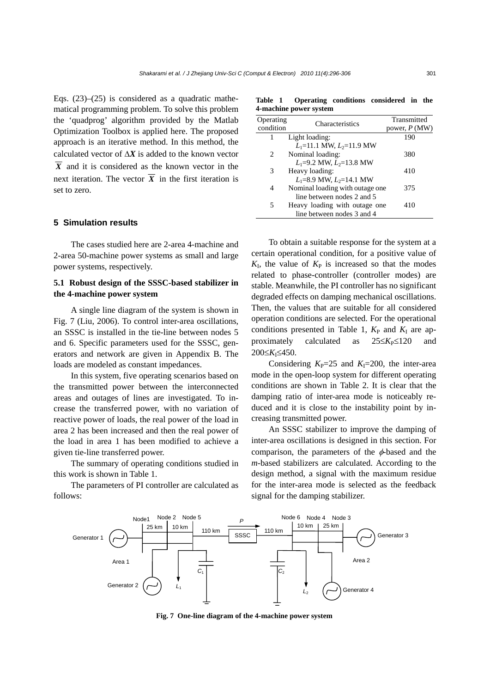Eqs.  $(23)$ – $(25)$  is considered as a quadratic mathematical programming problem. To solve this problem the 'quadprog' algorithm provided by the Matlab Optimization Toolbox is applied here. The proposed approach is an iterative method. In this method, the calculated vector of  $\Delta X$  is added to the known vector  $\overline{X}$  and it is considered as the known vector in the next iteration. The vector  $\overline{X}$  in the first iteration is set to zero.

## **5 Simulation results**

The cases studied here are 2-area 4-machine and 2-area 50-machine power systems as small and large power systems, respectively.

# **5.1 Robust design of the SSSC-based stabilizer in the 4-machine power system**

A single line diagram of the system is shown in Fig. 7 (Liu, 2006). To control inter-area oscillations, an SSSC is installed in the tie-line between nodes 5 and 6. Specific parameters used for the SSSC, generators and network are given in Appendix B. The loads are modeled as constant impedances.

In this system, five operating scenarios based on the transmitted power between the interconnected areas and outages of lines are investigated. To increase the transferred power, with no variation of reactive power of loads, the real power of the load in area 2 has been increased and then the real power of the load in area 1 has been modified to achieve a given tie-line transferred power.

The summary of operating conditions studied in this work is shown in Table 1.

The parameters of PI controller are calculated as follows:

**Table 1 Operating conditions considered in the 4-machine power system**

| Operating<br>condition | Characteristics                 | Transmitted<br>power, $P(MW)$ |
|------------------------|---------------------------------|-------------------------------|
| 1                      | Light loading:                  | 190                           |
|                        | $L_1=11.1$ MW, $L_2=11.9$ MW    |                               |
| 2                      | Nominal loading:                | 380                           |
|                        | $L_1 = 9.2$ MW, $L_2 = 13.8$ MW |                               |
| 3                      | Heavy loading:                  | 410                           |
|                        | $L_1 = 8.9$ MW, $L_2 = 14.1$ MW |                               |
| 4                      | Nominal loading with outage one | 375                           |
|                        | line between nodes 2 and 5      |                               |
| 5                      | Heavy loading with outage one.  | 410                           |
|                        | line between nodes 3 and 4      |                               |

To obtain a suitable response for the system at a certain operational condition, for a positive value of  $K_I$ , the value of  $K_P$  is increased so that the modes related to phase-controller (controller modes) are stable. Meanwhile, the PI controller has no significant degraded effects on damping mechanical oscillations. Then, the values that are suitable for all considered operation conditions are selected. For the operational conditions presented in Table 1,  $K_P$  and  $K_I$  are approximately calculated as 25≤*K*<sub>P</sub>≤120 and 200≤*K*I≤450.

Considering  $K_P$ =25 and  $K_I$ =200, the inter-area mode in the open-loop system for different operating conditions are shown in Table 2. It is clear that the damping ratio of inter-area mode is noticeably reduced and it is close to the instability point by increasing transmitted power.

An SSSC stabilizer to improve the damping of inter-area oscillations is designed in this section. For comparison, the parameters of the  $\phi$ -based and the *m*-based stabilizers are calculated. According to the design method, a signal with the maximum residue for the inter-area mode is selected as the feedback signal for the damping stabilizer.



**Fig. 7 One-line diagram of the 4-machine power system**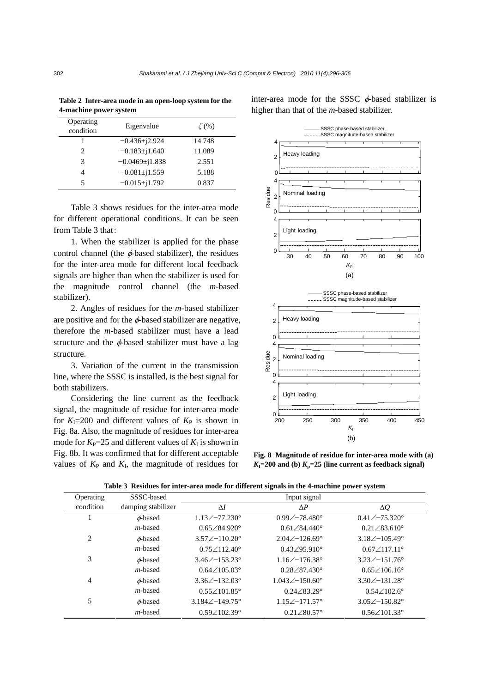| Operating<br>condition      | Eigenvalue          | $\zeta(% )$ |
|-----------------------------|---------------------|-------------|
|                             | $-0.436 \pm i2.924$ | 14.748      |
| $\mathcal{D}_{\mathcal{A}}$ | $-0.183 \pm 1.640$  | 11.089      |
| 3                           | $-0.0469 \pm 1.838$ | 2.551       |
| 4                           | $-0.081 \pm j1.559$ | 5.188       |
| 5                           | $-0.015 \pm 1.792$  | 0.837       |
|                             |                     |             |

**Table 2 Inter-area mode in an open-loop system for the 4-machine power system**

Table 3 shows residues for the inter-area mode for different operational conditions. It can be seen from Table 3 that:

1. When the stabilizer is applied for the phase control channel (the  $\phi$ -based stabilizer), the residues for the inter-area mode for different local feedback signals are higher than when the stabilizer is used for the magnitude control channel (the *m*-based stabilizer).

2. Angles of residues for the *m*-based stabilizer are positive and for the  $\phi$ -based stabilizer are negative, therefore the *m*-based stabilizer must have a lead structure and the  $\phi$ -based stabilizer must have a lag structure.

3. Variation of the current in the transmission line, where the SSSC is installed, is the best signal for both stabilizers.

Considering the line current as the feedback signal, the magnitude of residue for inter-area mode for  $K_{\rm I}$ =200 and different values of  $K_{\rm P}$  is shown in Fig. 8a. Also, the magnitude of residues for inter-area mode for  $K_{P}$ =25 and different values of  $K_{I}$  is shown in Fig. 8b. It was confirmed that for different acceptable values of  $K_{\rm P}$  and  $K_{\rm I}$ , the magnitude of residues for inter-area mode for the SSSC  $\phi$ -based stabilizer is higher than that of the *m*-based stabilizer. SSSC phase-based stabilizer SSSC magnitude-based stabilizer



**Fig. 8 Magnitude of residue for inter-area mode with (a)**  $K_I = 200$  and (b)  $K_p = 25$  (line current as feedback signal)

| Operating | SSSC-based         | Input signal                  |                               |                              |  |  |  |  |
|-----------|--------------------|-------------------------------|-------------------------------|------------------------------|--|--|--|--|
| condition | damping stabilizer | $\Delta I$                    | $\Delta P$                    | $\Delta Q$                   |  |  |  |  |
|           | $\phi$ -based      | $1.13\angle -77.230^{\circ}$  | $0.99\angle -78.480^{\circ}$  | $0.41\angle -75.320^{\circ}$ |  |  |  |  |
|           | <i>m</i> -based    | $0.65 \angle 84.920^{\circ}$  | $0.61 \angle 84.440^{\circ}$  | $0.21\angle 83.610^{\circ}$  |  |  |  |  |
| 2         | $\phi$ -based      | $3.57\angle -110.20^{\circ}$  | $2.04\angle -126.69^{\circ}$  | $3.18\angle -105.49^{\circ}$ |  |  |  |  |
|           | <i>m</i> -based    | $0.75\angle 112.40^{\circ}$   | $0.43\angle 95.910^{\circ}$   | $0.67 \angle 117.11^{\circ}$ |  |  |  |  |
| 3         | $\phi$ -based      | $3.46\angle -153.23^{\circ}$  | $1.16\angle -176.38^{\circ}$  | $3.23\angle -151.76^{\circ}$ |  |  |  |  |
|           | <i>m</i> -based    | $0.64 \angle 105.03^{\circ}$  | $0.28 \angle 87.430^{\circ}$  | $0.65 \angle 106.16^{\circ}$ |  |  |  |  |
| 4         | $\phi$ -based      | $3.36\angle -132.03^{\circ}$  | $1.043\angle -150.60^{\circ}$ | $3.30\angle -131.28^\circ$   |  |  |  |  |
|           | <i>m</i> -based    | $0.55\angle 101.85^{\circ}$   | $0.24\angle 83.29^{\circ}$    | $0.54\angle 102.6^{\circ}$   |  |  |  |  |
| 5         | $\phi$ -based      | $3.184\angle -149.75^{\circ}$ | $1.15\angle -171.57^{\circ}$  | $3.05\angle -150.82^{\circ}$ |  |  |  |  |
|           | <i>m</i> -based    | $0.59\angle 102.39^{\circ}$   | $0.21\angle 80.57^{\circ}$    | $0.56\angle 101.33^{\circ}$  |  |  |  |  |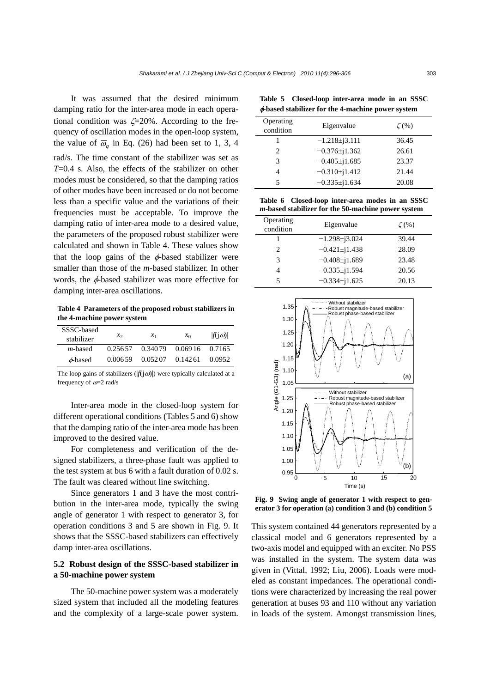It was assumed that the desired minimum damping ratio for the inter-area mode in each operational condition was  $\zeta = 20\%$ . According to the frequency of oscillation modes in the open-loop system, the value of  $\overline{\omega}_q$  in Eq. (26) had been set to 1, 3, 4 rad/s. The time constant of the stabilizer was set as *T*=0.4 s. Also, the effects of the stabilizer on other modes must be considered, so that the damping ratios of other modes have been increased or do not become less than a specific value and the variations of their frequencies must be acceptable. To improve the damping ratio of inter-area mode to a desired value, the parameters of the proposed robust stabilizer were calculated and shown in Table 4. These values show that the loop gains of the  $\phi$ -based stabilizer were smaller than those of the *m*-based stabilizer. In other words, the φ-based stabilizer was more effective for damping inter-area oscillations.

**Table 4 Parameters of the proposed robust stabilizers in the 4-machine power system**

| SSSC-based      |          |         |          |                |
|-----------------|----------|---------|----------|----------------|
| stabilizer      | $x_2$    | $x_1$   | $x_0$    | $ f(i\omega) $ |
| <i>m</i> -based | 0.256.57 | 0.34079 | 0.06916  | 0.7165         |
| $\phi$ -based   | 0.006.59 | 0.05207 | 0.142.61 | 0.0952         |

The loop gains of stabilizers  $(|f(j\omega)|)$  were typically calculated at a frequency of ω=2 rad/s

Inter-area mode in the closed-loop system for different operational conditions (Tables 5 and 6) show that the damping ratio of the inter-area mode has been improved to the desired value.

For completeness and verification of the designed stabilizers, a three-phase fault was applied to the test system at bus 6 with a fault duration of 0.02 s. The fault was cleared without line switching.

Since generators 1 and 3 have the most contribution in the inter-area mode, typically the swing angle of generator 1 with respect to generator 3, for operation conditions 3 and 5 are shown in Fig. 9. It shows that the SSSC-based stabilizers can effectively damp inter-area oscillations.

# **5.2 Robust design of the SSSC-based stabilizer in a 50-machine power system**

The 50-machine power system was a moderately sized system that included all the modeling features and the complexity of a large-scale power system.

**Table 5 Closed-loop inter-area mode in an SSSC**  φ**-based stabilizer for the 4-machine power system**

| Operating<br>condition        | Eigenvalue          | $\zeta$ (%) |
|-------------------------------|---------------------|-------------|
|                               | $-1.218\pm i3.111$  | 36.45       |
| $\mathfrak{D}_{\mathfrak{p}}$ | $-0.376 \pm j1.362$ | 26.61       |
| 3                             | $-0.405 \pm j1.685$ | 23.37       |
| 4                             | $-0.310\pm1.412$    | 21.44       |
| 5                             | $-0.335 \pm 1.634$  | 20.08       |

**Table 6 Closed-loop inter-area modes in an SSSC** *m*-**based stabilizer for the 50-machine power system**

| Operating<br>condition | Eigenvalue           | $\zeta$ (%) |
|------------------------|----------------------|-------------|
|                        | $-1.298 \pm i 3.024$ | 39.44       |
| 2                      | $-0.421 \pm i1.438$  | 28.09       |
| 3                      | $-0.408 \pm 1.689$   | 23.48       |
| 4                      | $-0.335 \pm j1.594$  | 20.56       |
| 5                      | $-0.334 \pm 1.625$   | 20.13       |



**Fig. 9 Swing angle of generator 1 with respect to gen-**

This system contained 44 generators represented by a classical model and 6 generators represented by a two-axis model and equipped with an exciter. No PSS was installed in the system. The system data was given in (Vittal, 1992; Liu, 2006). Loads were modeled as constant impedances. The operational conditions were characterized by increasing the real power generation at buses 93 and 110 without any variation in loads of the system. Amongst transmission lines,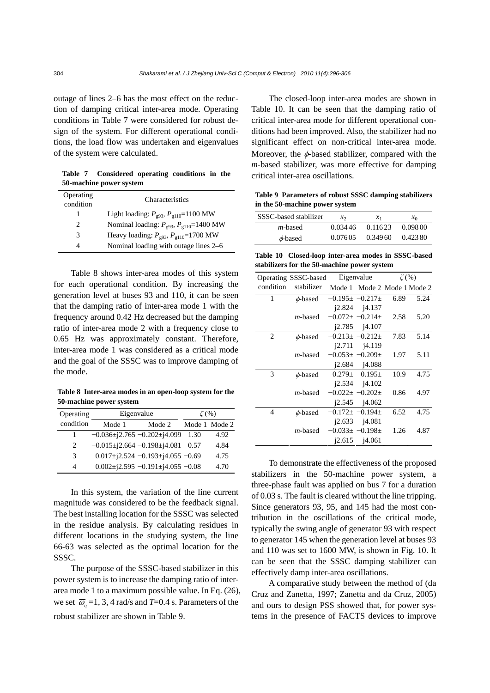outage of lines 2–6 has the most effect on the reduction of damping critical inter-area mode. Operating conditions in Table 7 were considered for robust design of the system. For different operational conditions, the load flow was undertaken and eigenvalues of the system were calculated.

**Table 7 Considered operating conditions in the 50-machine power system** 

| Operating<br>condition | Characteristics                                  |
|------------------------|--------------------------------------------------|
| 1                      | Light loading: $P_{g93}$ , $P_{g110}$ =1100 MW   |
| 2                      | Nominal loading: $P_{g93}$ , $P_{g110}$ =1400 MW |
| 3                      | Heavy loading: $P_{g93}$ , $P_{g110}$ =1700 MW   |
|                        | Nominal loading with outage lines 2–6            |

Table 8 shows inter-area modes of this system for each operational condition. By increasing the generation level at buses 93 and 110, it can be seen that the damping ratio of inter-area mode 1 with the frequency around 0.42 Hz decreased but the damping ratio of inter-area mode 2 with a frequency close to 0.65 Hz was approximately constant. Therefore, inter-area mode 1 was considered as a critical mode and the goal of the SSSC was to improve damping of the mode.

**Table 8 Inter-area modes in an open-loop system for the 50-machine power system**

| Operating                   | Eigenvalue                                 |        | $\zeta$ (%)   |      |
|-----------------------------|--------------------------------------------|--------|---------------|------|
| condition                   | Mode 1                                     | Mode 2 | Mode 1 Mode 2 |      |
|                             | $-0.036\pm i2.765 -0.202\pm i4.099$        |        | 1.30          | 4.92 |
| $\mathcal{D}_{\mathcal{L}}$ | $-0.015 \pm j2.664 -0.198 \pm j4.081$      |        | 0.57          | 4.84 |
| 3                           | $0.017 \pm i2.524 -0.193 \pm i4.055 -0.69$ |        |               | 4.75 |
| 4                           | $0.002 \pm i2.595 -0.191 \pm i4.055 -0.08$ |        |               | 4.70 |

In this system, the variation of the line current magnitude was considered to be the feedback signal. The best installing location for the SSSC was selected in the residue analysis. By calculating residues in different locations in the studying system, the line 66-63 was selected as the optimal location for the SSSC.

The purpose of the SSSC-based stabilizer in this power system is to increase the damping ratio of interarea mode 1 to a maximum possible value. In Eq. (26), we set  $\overline{\omega}_a = 1$ , 3, 4 rad/s and *T*=0.4 s. Parameters of the robust stabilizer are shown in Table 9.

The closed-loop inter-area modes are shown in Table 10. It can be seen that the damping ratio of critical inter-area mode for different operational conditions had been improved. Also, the stabilizer had no significant effect on non-critical inter-area mode. Moreover, the  $\phi$ -based stabilizer, compared with the *m*-based stabilizer, was more effective for damping critical inter-area oscillations.

**Table 9 Parameters of robust SSSC damping stabilizers in the 50-machine power system** 

| SSSC-based stabilizer | $\mathcal{X}$ | $\mathcal{X}_1$ | $x_0$   |
|-----------------------|---------------|-----------------|---------|
| <i>m</i> -based       | 0.034.46      | 0.11623         | 0.09800 |
| $\phi$ -based         | 0.07605       | 0.34960         | 0.42380 |

**Table 10 Closed-loop inter-area modes in SSSC-based stabilizers for the 50-machine power system** 

|                | Operating SSSC-based |                         | Eigenvalue                  | $\zeta$ (%) |      |
|----------------|----------------------|-------------------------|-----------------------------|-------------|------|
| condition      | stabilizer           |                         | Mode 1 Mode 2 Mode 1 Mode 2 |             |      |
| 1              | $\phi$ -based        | $-0.195\pm -0.217\pm$   |                             | 6.89        | 5.24 |
|                |                      |                         | $i2.824$ $i4.137$           |             |      |
|                | <i>m</i> -based      | $-0.072 \pm -0.214 \pm$ |                             | 2.58        | 5.20 |
|                |                      |                         | $i2.785$ $i4.107$           |             |      |
| $\overline{2}$ | $\phi$ -based        | $-0.213+ -0.212+$       |                             | 7.83        | 5.14 |
|                |                      | 12.711                  | j4.119                      |             |      |
|                | <i>m</i> -based      | $-0.053 \pm -0.209 \pm$ |                             | 1.97        | 5.11 |
|                |                      |                         | $i2.684$ $i4.088$           |             |      |
| 3              | $\phi$ -based        | $-0.279 \pm -0.195 \pm$ |                             | 10.9        | 4.75 |
|                |                      |                         | $i2.534$ $i4.102$           |             |      |
|                | $m$ -based           | $-0.022 \pm -0.202 \pm$ |                             | 0.86        | 4.97 |
|                |                      |                         | $i2.545$ $i4.062$           |             |      |
| $\overline{4}$ | $\phi$ -based        | $-0.172 \pm -0.194 \pm$ |                             | 6.52        | 4.75 |
|                |                      |                         | $i2.633$ $i4.081$           |             |      |
|                | <i>m</i> -based      | $-0.033 \pm -0.198 \pm$ |                             | 1.26        | 4.87 |
|                |                      |                         | $i2.615$ $i4.061$           |             |      |

To demonstrate the effectiveness of the proposed stabilizers in the 50-machine power system, a three-phase fault was applied on bus 7 for a duration of 0.03 s. The fault is cleared without the line tripping. Since generators 93, 95, and 145 had the most contribution in the oscillations of the critical mode, typically the swing angle of generator 93 with respect to generator 145 when the generation level at buses 93 and 110 was set to 1600 MW, is shown in Fig. 10. It can be seen that the SSSC damping stabilizer can effectively damp inter-area oscillations.

A comparative study between the method of (da Cruz and Zanetta, 1997; Zanetta and da Cruz, 2005) and ours to design PSS showed that, for power systems in the presence of FACTS devices to improve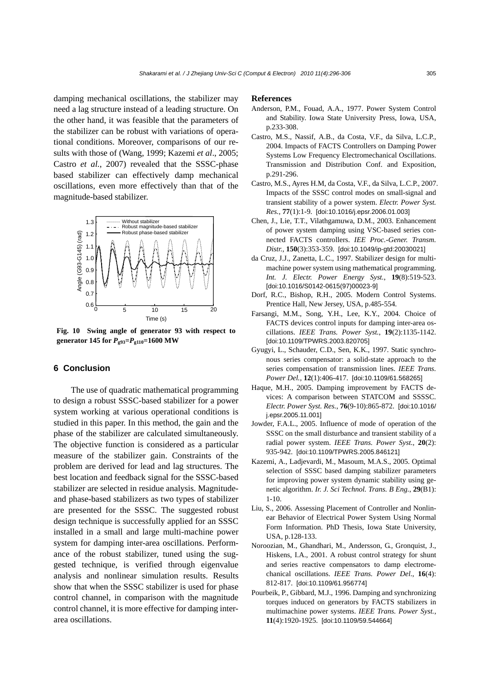damping mechanical oscillations, the stabilizer may need a lag structure instead of a leading structure. On the other hand, it was feasible that the parameters of the stabilizer can be robust with variations of operational conditions. Moreover, comparisons of our results with those of (Wang, 1999; Kazemi *et al*., 2005; Castro *et al.*, 2007) revealed that the SSSC-phase based stabilizer can effectively damp mechanical oscillations, even more effectively than that of the magnitude-based stabilizer.



**Fig. 10 Swing angle of generator 93 with respect to generator 145 for** *P***g93=***P***g110=1600 MW** 

## **6 Conclusion**

The use of quadratic mathematical programming to design a robust SSSC-based stabilizer for a power system working at various operational conditions is studied in this paper. In this method, the gain and the phase of the stabilizer are calculated simultaneously. The objective function is considered as a particular measure of the stabilizer gain. Constraints of the problem are derived for lead and lag structures. The best location and feedback signal for the SSSC-based stabilizer are selected in residue analysis. Magnitudeand phase-based stabilizers as two types of stabilizer are presented for the SSSC. The suggested robust design technique is successfully applied for an SSSC installed in a small and large multi-machine power system for damping inter-area oscillations. Performance of the robust stabilizer, tuned using the suggested technique, is verified through eigenvalue analysis and nonlinear simulation results. Results show that when the SSSC stabilizer is used for phase control channel, in comparison with the magnitude control channel, it is more effective for damping interarea oscillations.

#### **References**

- Anderson, P.M., Fouad, A.A., 1977. Power System Control and Stability. Iowa State University Press, Iowa, USA, p.233-308.
- Castro, M.S., Nassif, A.B., da Costa, V.F., da Silva, L.C.P., 2004. Impacts of FACTS Controllers on Damping Power Systems Low Frequency Electromechanical Oscillations. Transmission and Distribution Conf. and Exposition, p.291-296.
- Castro, M.S., Ayres H.M, da Costa, V.F., da Silva, L.C.P., 2007. Impacts of the SSSC control modes on small-signal and transient stability of a power system. *Electr. Power Syst. Res.*, **77**(1):1-9. [doi:10.1016/j.epsr.2006.01.003]
- Chen, J., Lie, T.T., Vilathgamuwa, D.M., 2003. Enhancement of power system damping using VSC-based series connected FACTS controllers. *IEE Proc.-Gener. Transm. Distr.*, **150**(3):353-359. [doi:10.1049/ip-gtd:20030021]
- da Cruz, J.J., Zanetta, L.C., 1997. Stabilizer design for multimachine power system using mathematical programming. *Int. J. Electr. Power Energy Syst.*, **19**(8):519-523. [doi:10.1016/S0142-0615(97)00023-9]
- Dorf, R.C., Bishop, R.H., 2005. Modern Control Systems. Prentice Hall, New Jersey, USA, p.485-554.
- Farsangi, M.M., Song, Y.H., Lee, K.Y., 2004. Choice of FACTS devices control inputs for damping inter-area oscillations. *IEEE Trans. Power Syst.*, **19**(2):1135-1142. [doi:10.1109/TPWRS.2003.820705]
- Gyugyi, L., Schauder, C.D., Sen, K.K., 1997. Static synchronous series compensator: a solid-state approach to the series compensation of transmission lines. *IEEE Trans. Power Del.*, **12**(1):406-417. [doi:10.1109/61.568265]
- Haque, M.H., 2005. Damping improvement by FACTS devices: A comparison between STATCOM and SSSSC. *Electr. Power Syst. Res.*, **76**(9-10):865-872. [doi:10.1016/ j.epsr.2005.11.001]
- Jowder, F.A.L., 2005. Influence of mode of operation of the SSSC on the small disturbance and transient stability of a radial power system. *IEEE Trans. Power Syst.*, **20**(2): 935-942. [doi:10.1109/TPWRS.2005.846121]
- Kazemi, A., Ladjevardi, M., Masoum, M.A.S., 2005. Optimal selection of SSSC based damping stabilizer parameters for improving power system dynamic stability using genetic algorithm. *Ir. J. Sci Technol. Trans. B Eng.*, **29**(B1): 1-10.
- Liu, S., 2006. Assessing Placement of Controller and Nonlinear Behavior of Electrical Power System Using Normal Form Information. PhD Thesis, Iowa State University, USA, p.128-133.
- Noroozian, M., Ghandhari, M., Andersson, G., Gronquist, J., Hiskens, I.A., 2001. A robust control strategy for shunt and series reactive compensators to damp electromechanical oscillations. *IEEE Trans. Power Del.*, **16**(4): 812-817. [doi:10.1109/61.956774]
- Pourbeik, P., Gibbard, M.J., 1996. Damping and synchronizing torques induced on generators by FACTS stabilizers in multimachine power systems. *IEEE Trans. Power Syst.*, **11**(4):1920-1925. [doi:10.1109/59.544664]